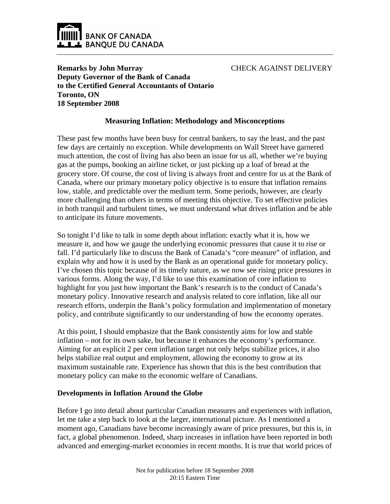

CHECK AGAINST DELIVERY

**Remarks by John Murray Deputy Governor of the Bank of Canada to the Certified General Accountants of Ontario Toronto, ON 18 September 2008**

## **Measuring Inflation: Methodology and Misconceptions**

These past few months have been busy for central bankers, to say the least, and the past few days are certainly no exception. While developments on Wall Street have garnered much attention, the cost of living has also been an issue for us all, whether we're buying gas at the pumps, booking an airline ticket, or just picking up a loaf of bread at the grocery store. Of course, the cost of living is always front and centre for us at the Bank of Canada, where our primary monetary policy objective is to ensure that inflation remains low, stable, and predictable over the medium term. Some periods, however, are clearly more challenging than others in terms of meeting this objective. To set effective policies in both tranquil and turbulent times, we must understand what drives inflation and be able to anticipate its future movements.

So tonight I'd like to talk in some depth about inflation: exactly what it is, how we measure it, and how we gauge the underlying economic pressures that cause it to rise or fall. I'd particularly like to discuss the Bank of Canada's "core measure" of inflation, and explain why and how it is used by the Bank as an operational guide for monetary policy. I've chosen this topic because of its timely nature, as we now see rising price pressures in various forms. Along the way, I'd like to use this examination of core inflation to highlight for you just how important the Bank's research is to the conduct of Canada's monetary policy. Innovative research and analysis related to core inflation, like all our research efforts, underpin the Bank's policy formulation and implementation of monetary policy, and contribute significantly to our understanding of how the economy operates.

At this point, I should emphasize that the Bank consistently aims for low and stable inflation – not for its own sake, but because it enhances the economy's performance. Aiming for an explicit 2 per cent inflation target not only helps stabilize prices, it also helps stabilize real output and employment, allowing the economy to grow at its maximum sustainable rate. Experience has shown that this is the best contribution that monetary policy can make to the economic welfare of Canadians.

### **Developments in Inflation Around the Globe**

Before I go into detail about particular Canadian measures and experiences with inflation, let me take a step back to look at the larger, international picture. As I mentioned a moment ago, Canadians have become increasingly aware of price pressures, but this is, in fact, a global phenomenon. Indeed, sharp increases in inflation have been reported in both advanced and emerging-market economies in recent months. It is true that world prices of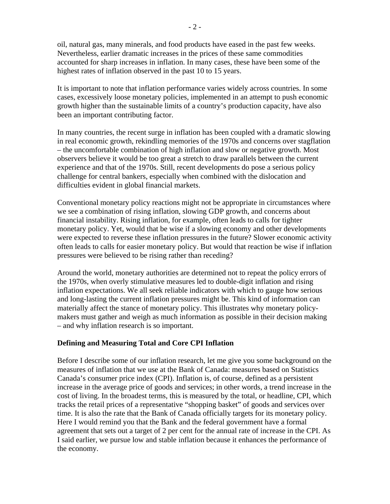oil, natural gas, many minerals, and food products have eased in the past few weeks. Nevertheless, earlier dramatic increases in the prices of these same commodities accounted for sharp increases in inflation. In many cases, these have been some of the highest rates of inflation observed in the past 10 to 15 years.

It is important to note that inflation performance varies widely across countries. In some cases, excessively loose monetary policies, implemented in an attempt to push economic growth higher than the sustainable limits of a country's production capacity, have also been an important contributing factor.

In many countries, the recent surge in inflation has been coupled with a dramatic slowing in real economic growth, rekindling memories of the 1970s and concerns over stagflation – the uncomfortable combination of high inflation and slow or negative growth. Most observers believe it would be too great a stretch to draw parallels between the current experience and that of the 1970s. Still, recent developments do pose a serious policy challenge for central bankers, especially when combined with the dislocation and difficulties evident in global financial markets.

Conventional monetary policy reactions might not be appropriate in circumstances where we see a combination of rising inflation, slowing GDP growth, and concerns about financial instability. Rising inflation, for example, often leads to calls for tighter monetary policy. Yet, would that be wise if a slowing economy and other developments were expected to reverse these inflation pressures in the future? Slower economic activity often leads to calls for easier monetary policy. But would that reaction be wise if inflation pressures were believed to be rising rather than receding?

Around the world, monetary authorities are determined not to repeat the policy errors of the 1970s, when overly stimulative measures led to double-digit inflation and rising inflation expectations. We all seek reliable indicators with which to gauge how serious and long-lasting the current inflation pressures might be. This kind of information can materially affect the stance of monetary policy. This illustrates why monetary policymakers must gather and weigh as much information as possible in their decision making – and why inflation research is so important.

### **Defining and Measuring Total and Core CPI Inflation**

Before I describe some of our inflation research, let me give you some background on the measures of inflation that we use at the Bank of Canada: measures based on Statistics Canada's consumer price index (CPI). Inflation is, of course, defined as a persistent increase in the average price of goods and services; in other words, a trend increase in the cost of living. In the broadest terms, this is measured by the total, or headline, CPI, which tracks the retail prices of a representative "shopping basket" of goods and services over time. It is also the rate that the Bank of Canada officially targets for its monetary policy. Here I would remind you that the Bank and the federal government have a formal agreement that sets out a target of 2 per cent for the annual rate of increase in the CPI. As I said earlier, we pursue low and stable inflation because it enhances the performance of the economy.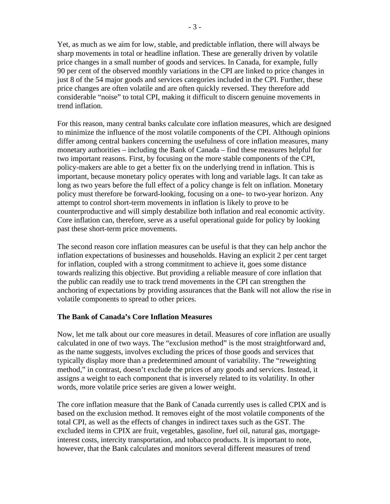Yet, as much as we aim for low, stable, and predictable inflation, there will always be sharp movements in total or headline inflation. These are generally driven by volatile price changes in a small number of goods and services. In Canada, for example, fully 90 per cent of the observed monthly variations in the CPI are linked to price changes in just 8 of the 54 major goods and services categories included in the CPI. Further, these price changes are often volatile and are often quickly reversed. They therefore add considerable "noise" to total CPI, making it difficult to discern genuine movements in trend inflation.

For this reason, many central banks calculate core inflation measures, which are designed to minimize the influence of the most volatile components of the CPI. Although opinions differ among central bankers concerning the usefulness of core inflation measures, many monetary authorities – including the Bank of Canada – find these measures helpful for two important reasons. First, by focusing on the more stable components of the CPI, policy-makers are able to get a better fix on the underlying trend in inflation. This is important, because monetary policy operates with long and variable lags. It can take as long as two years before the full effect of a policy change is felt on inflation. Monetary policy must therefore be forward-looking, focusing on a one- to two-year horizon. Any attempt to control short-term movements in inflation is likely to prove to be counterproductive and will simply destabilize both inflation and real economic activity. Core inflation can, therefore, serve as a useful operational guide for policy by looking past these short-term price movements.

The second reason core inflation measures can be useful is that they can help anchor the inflation expectations of businesses and households. Having an explicit 2 per cent target for inflation, coupled with a strong commitment to achieve it, goes some distance towards realizing this objective. But providing a reliable measure of core inflation that the public can readily use to track trend movements in the CPI can strengthen the anchoring of expectations by providing assurances that the Bank will not allow the rise in volatile components to spread to other prices.

### **The Bank of Canada's Core Inflation Measures**

Now, let me talk about our core measures in detail. Measures of core inflation are usually calculated in one of two ways. The "exclusion method" is the most straightforward and, as the name suggests, involves excluding the prices of those goods and services that typically display more than a predetermined amount of variability. The "reweighting method," in contrast, doesn't exclude the prices of any goods and services. Instead, it assigns a weight to each component that is inversely related to its volatility. In other words, more volatile price series are given a lower weight.

The core inflation measure that the Bank of Canada currently uses is called CPIX and is based on the exclusion method. It removes eight of the most volatile components of the total CPI, as well as the effects of changes in indirect taxes such as the GST. The excluded items in CPIX are fruit, vegetables, gasoline, fuel oil, natural gas, mortgageinterest costs, intercity transportation, and tobacco products. It is important to note, however, that the Bank calculates and monitors several different measures of trend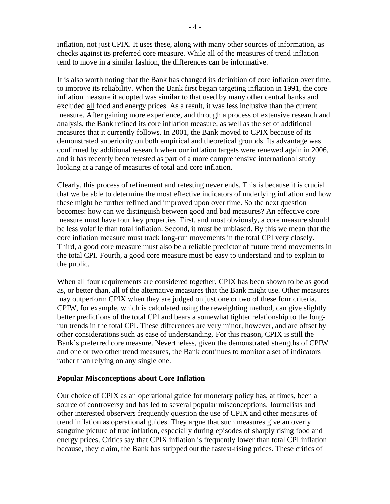inflation, not just CPIX. It uses these, along with many other sources of information, as checks against its preferred core measure. While all of the measures of trend inflation tend to move in a similar fashion, the differences can be informative.

It is also worth noting that the Bank has changed its definition of core inflation over time, to improve its reliability. When the Bank first began targeting inflation in 1991, the core inflation measure it adopted was similar to that used by many other central banks and excluded all food and energy prices. As a result, it was less inclusive than the current measure. After gaining more experience, and through a process of extensive research and analysis, the Bank refined its core inflation measure, as well as the set of additional measures that it currently follows. In 2001, the Bank moved to CPIX because of its demonstrated superiority on both empirical and theoretical grounds. Its advantage was confirmed by additional research when our inflation targets were renewed again in 2006, and it has recently been retested as part of a more comprehensive international study looking at a range of measures of total and core inflation.

Clearly, this process of refinement and retesting never ends. This is because it is crucial that we be able to determine the most effective indicators of underlying inflation and how these might be further refined and improved upon over time. So the next question becomes: how can we distinguish between good and bad measures? An effective core measure must have four key properties. First, and most obviously, a core measure should be less volatile than total inflation. Second, it must be unbiased. By this we mean that the core inflation measure must track long-run movements in the total CPI very closely. Third, a good core measure must also be a reliable predictor of future trend movements in the total CPI. Fourth, a good core measure must be easy to understand and to explain to the public.

When all four requirements are considered together, CPIX has been shown to be as good as, or better than, all of the alternative measures that the Bank might use. Other measures may outperform CPIX when they are judged on just one or two of these four criteria. CPIW, for example, which is calculated using the reweighting method, can give slightly better predictions of the total CPI and bears a somewhat tighter relationship to the longrun trends in the total CPI. These differences are very minor, however, and are offset by other considerations such as ease of understanding. For this reason, CPIX is still the Bank's preferred core measure. Nevertheless, given the demonstrated strengths of CPIW and one or two other trend measures, the Bank continues to monitor a set of indicators rather than relying on any single one.

### **Popular Misconceptions about Core Inflation**

Our choice of CPIX as an operational guide for monetary policy has, at times, been a source of controversy and has led to several popular misconceptions. Journalists and other interested observers frequently question the use of CPIX and other measures of trend inflation as operational guides. They argue that such measures give an overly sanguine picture of true inflation, especially during episodes of sharply rising food and energy prices. Critics say that CPIX inflation is frequently lower than total CPI inflation because, they claim, the Bank has stripped out the fastest-rising prices. These critics of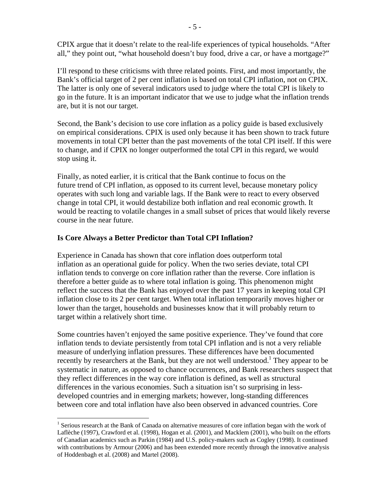CPIX argue that it doesn't relate to the real-life experiences of typical households. "After all," they point out, "what household doesn't buy food, drive a car, or have a mortgage?"

I'll respond to these criticisms with three related points. First, and most importantly, the Bank's official target of 2 per cent inflation is based on total CPI inflation, not on CPIX. The latter is only one of several indicators used to judge where the total CPI is likely to go in the future. It is an important indicator that we use to judge what the inflation trends are, but it is not our target.

Second, the Bank's decision to use core inflation as a policy guide is based exclusively on empirical considerations. CPIX is used only because it has been shown to track future movements in total CPI better than the past movements of the total CPI itself. If this were to change, and if CPIX no longer outperformed the total CPI in this regard, we would stop using it.

Finally, as noted earlier, it is critical that the Bank continue to focus on the future trend of CPI inflation, as opposed to its current level, because monetary policy operates with such long and variable lags. If the Bank were to react to every observed change in total CPI, it would destabilize both inflation and real economic growth. It would be reacting to volatile changes in a small subset of prices that would likely reverse course in the near future.

# **Is Core Always a Better Predictor than Total CPI Inflation?**

 $\overline{a}$ 

Experience in Canada has shown that core inflation does outperform total inflation as an operational guide for policy. When the two series deviate, total CPI inflation tends to converge on core inflation rather than the reverse. Core inflation is therefore a better guide as to where total inflation is going. This phenomenon might reflect the success that the Bank has enjoyed over the past 17 years in keeping total CPI inflation close to its 2 per cent target. When total inflation temporarily moves higher or lower than the target, households and businesses know that it will probably return to target within a relatively short time.

Some countries haven't enjoyed the same positive experience. They've found that core inflation tends to deviate persistently from total CPI inflation and is not a very reliable measure of underlying inflation pressures. These differences have been documented recently by researchers at the Bank, but they are not well understood.<sup>1</sup> They appear to be systematic in nature, as opposed to chance occurrences, and Bank researchers suspect that they reflect differences in the way core inflation is defined, as well as structural differences in the various economies. Such a situation isn't so surprising in lessdeveloped countries and in emerging markets; however, long-standing differences between core and total inflation have also been observed in advanced countries. Core

<sup>&</sup>lt;sup>1</sup> Serious research at the Bank of Canada on alternative measures of core inflation began with the work of Laflèche (1997), Crawford et al. (1998), Hogan et al. (2001), and Macklem (2001), who built on the efforts of Canadian academics such as Parkin (1984) and U.S. policy-makers such as Cogley (1998). It continued with contributions by Armour (2006) and has been extended more recently through the innovative analysis of Hoddenbagh et al. (2008) and Martel (2008).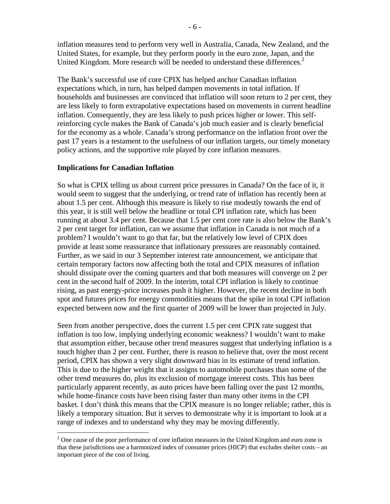inflation measures tend to perform very well in Australia, Canada, New Zealand, and the United States, for example, but they perform poorly in the euro zone, Japan, and the United Kingdom. More research will be needed to understand these differences.<sup>2</sup>

The Bank's successful use of core CPIX has helped anchor Canadian inflation expectations which, in turn, has helped dampen movements in total inflation. If households and businesses are convinced that inflation will soon return to 2 per cent, they are less likely to form extrapolative expectations based on movements in current headline inflation. Consequently, they are less likely to push prices higher or lower. This selfreinforcing cycle makes the Bank of Canada's job much easier and is clearly beneficial for the economy as a whole. Canada's strong performance on the inflation front over the past 17 years is a testament to the usefulness of our inflation targets, our timely monetary policy actions, and the supportive role played by core inflation measures.

### **Implications for Canadian Inflation**

1

So what is CPIX telling us about current price pressures in Canada? On the face of it, it would seem to suggest that the underlying, or trend rate of inflation has recently been at about 1.5 per cent. Although this measure is likely to rise modestly towards the end of this year, it is still well below the headline or total CPI inflation rate, which has been running at about 3.4 per cent. Because that 1.5 per cent core rate is also below the Bank's 2 per cent target for inflation, can we assume that inflation in Canada is not much of a problem? I wouldn't want to go that far, but the relatively low level of CPIX does provide at least some reassurance that inflationary pressures are reasonably contained. Further, as we said in our 3 September interest rate announcement, we anticipate that certain temporary factors now affecting both the total and CPIX measures of inflation should dissipate over the coming quarters and that both measures will converge on 2 per cent in the second half of 2009. In the interim, total CPI inflation is likely to continue rising, as past energy-price increases push it higher. However, the recent decline in both spot and futures prices for energy commodities means that the spike in total CPI inflation expected between now and the first quarter of 2009 will be lower than projected in July.

Seen from another perspective, does the current 1.5 per cent CPIX rate suggest that inflation is too low, implying underlying economic weakness? I wouldn't want to make that assumption either, because other trend measures suggest that underlying inflation is a touch higher than 2 per cent. Further, there is reason to believe that, over the most recent period, CPIX has shown a very slight downward bias in its estimate of trend inflation. This is due to the higher weight that it assigns to automobile purchases than some of the other trend measures do, plus its exclusion of mortgage interest costs. This has been particularly apparent recently, as auto prices have been falling over the past 12 months, while home-finance costs have been rising faster than many other items in the CPI basket. I don't think this means that the CPIX measure is no longer reliable; rather, this is likely a temporary situation. But it serves to demonstrate why it is important to look at a range of indexes and to understand why they may be moving differently.

 $2^2$  One cause of the poor performance of core inflation measures in the United Kingdom and euro zone is that these jurisdictions use a harmonized index of consumer prices (HICP) that excludes shelter costs – an important piece of the cost of living.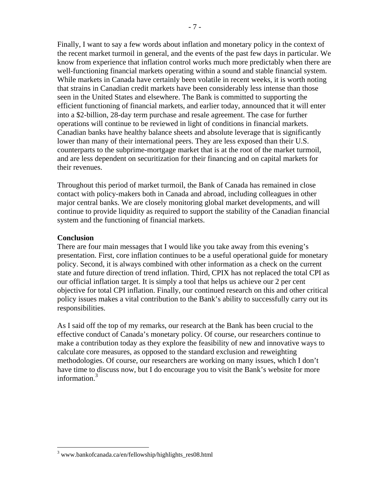Finally, I want to say a few words about inflation and monetary policy in the context of the recent market turmoil in general, and the events of the past few days in particular. We know from experience that inflation control works much more predictably when there are well-functioning financial markets operating within a sound and stable financial system. While markets in Canada have certainly been volatile in recent weeks, it is worth noting that strains in Canadian credit markets have been considerably less intense than those seen in the United States and elsewhere. The Bank is committed to supporting the efficient functioning of financial markets, and earlier today, announced that it will enter into a \$2-billion, 28-day term purchase and resale agreement. The case for further operations will continue to be reviewed in light of conditions in financial markets. Canadian banks have healthy balance sheets and absolute leverage that is significantly lower than many of their international peers. They are less exposed than their U.S. counterparts to the subprime-mortgage market that is at the root of the market turmoil, and are less dependent on securitization for their financing and on capital markets for their revenues.

Throughout this period of market turmoil, the Bank of Canada has remained in close contact with policy-makers both in Canada and abroad, including colleagues in other major central banks. We are closely monitoring global market developments, and will continue to provide liquidity as required to support the stability of the Canadian financial system and the functioning of financial markets.

### **Conclusion**

 $\overline{a}$ 

There are four main messages that I would like you take away from this evening's presentation. First, core inflation continues to be a useful operational guide for monetary policy. Second, it is always combined with other information as a check on the current state and future direction of trend inflation. Third, CPIX has not replaced the total CPI as our official inflation target. It is simply a tool that helps us achieve our 2 per cent objective for total CPI inflation. Finally, our continued research on this and other critical policy issues makes a vital contribution to the Bank's ability to successfully carry out its responsibilities.

As I said off the top of my remarks, our research at the Bank has been crucial to the effective conduct of Canada's monetary policy. Of course, our researchers continue to make a contribution today as they explore the feasibility of new and innovative ways to calculate core measures, as opposed to the standard exclusion and reweighting methodologies. Of course, our researchers are working on many issues, which I don't have time to discuss now, but I do encourage you to visit the Bank's website for more information.<sup>3</sup>

<sup>&</sup>lt;sup>3</sup> www.bankofcanada.ca/en/fellowship/highlights\_res08.html